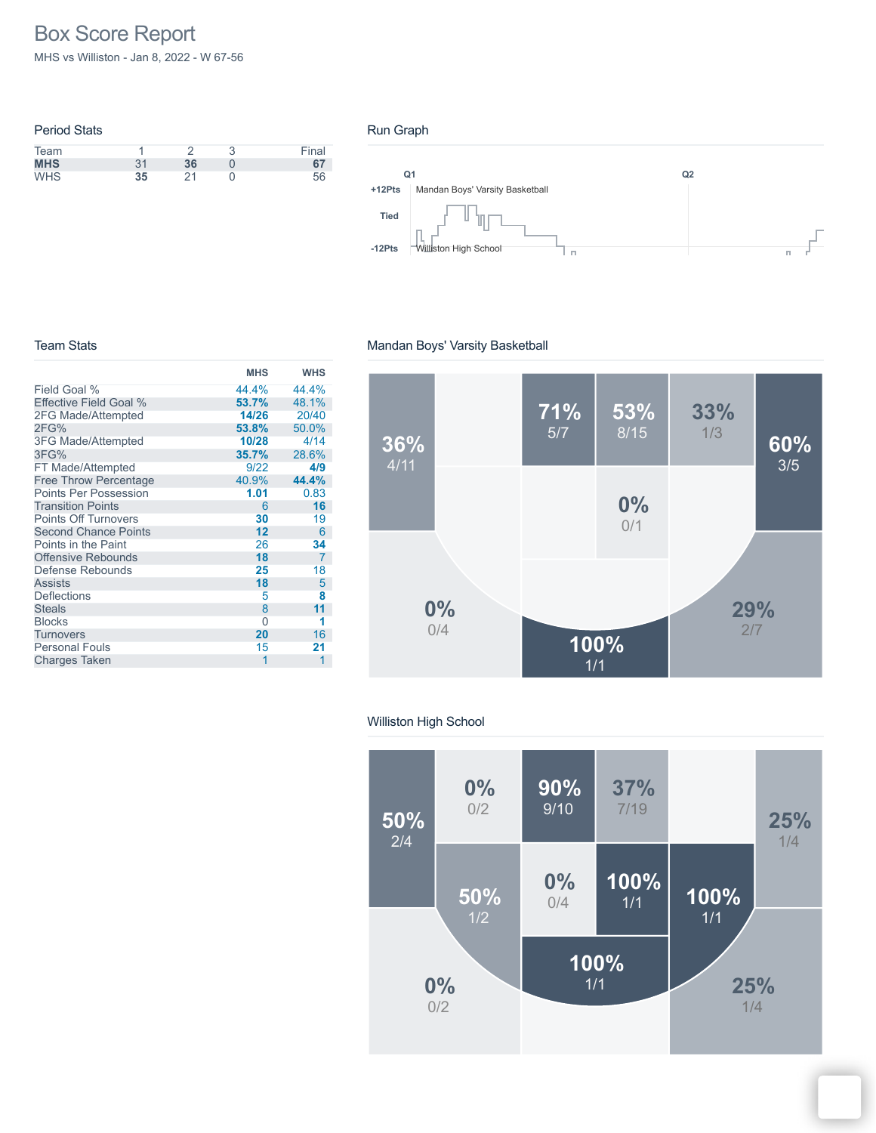# Box Score Report

MHS vs Williston - Jan 8, 2022 - W 67-56

| <b>Period Stats</b> |    |    |   |       |
|---------------------|----|----|---|-------|
| Team                |    |    | ∍ | Final |
| <b>MHS</b>          | 31 | 36 |   | 67    |
| <b>WHS</b>          | 35 | 21 |   | 56    |
|                     |    |    |   |       |

#### Run Graph



#### Team Stats

### Mandan Boys' Varsity Basketball

|                              | <b>MHS</b> | <b>WHS</b>     |
|------------------------------|------------|----------------|
| Field Goal %                 | 44.4%      | 44.4%          |
| Effective Field Goal %       | 53.7%      | 48.1%          |
| 2FG Made/Attempted           | 14/26      | 20/40          |
| 2FG%                         | 53.8%      | 50.0%          |
| 3FG Made/Attempted           | 10/28      | 4/14           |
| 3FG%                         | 35.7%      | 28.6%          |
| FT Made/Attempted            | 9/22       | 4/9            |
| <b>Free Throw Percentage</b> | 40.9%      | 44.4%          |
| <b>Points Per Possession</b> | 1.01       | 0.83           |
| <b>Transition Points</b>     | 6          | 16             |
| <b>Points Off Turnovers</b>  | 30         | 19             |
| <b>Second Chance Points</b>  | 12         | 6              |
| Points in the Paint          | 26         | 34             |
| <b>Offensive Rebounds</b>    | 18         | $\overline{7}$ |
| Defense Rebounds             | 25         | 18             |
| <b>Assists</b>               | 18         | 5              |
| <b>Deflections</b>           | 5          | 8              |
| <b>Steals</b>                | 8          | 11             |
| <b>Blocks</b>                | 0          | 1              |
| <b>Turnovers</b>             | 20         | 16             |
| <b>Personal Fouls</b>        | 15         | 21             |
| <b>Charges Taken</b>         | 1          | 1              |
|                              |            |                |



#### Williston High School